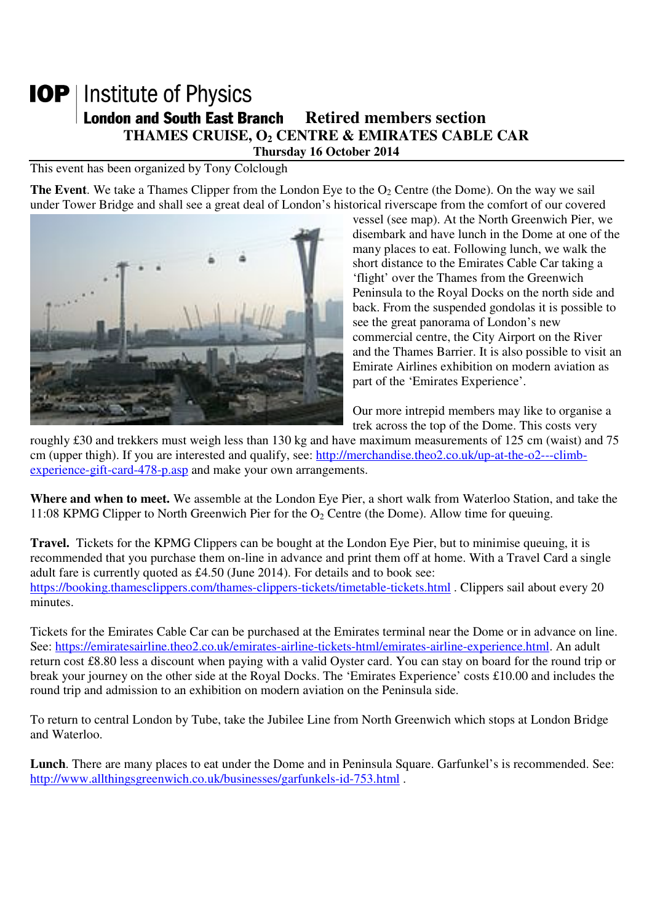## **IOP** | Institute of Physics **London and South East Branch Retired members section THAMES CRUISE, O2 CENTRE & EMIRATES CABLE CAR Thursday 16 October 2014**

This event has been organized by Tony Colclough

**The Event**. We take a Thames Clipper from the London Eye to the  $O_2$  Centre (the Dome). On the way we sail under Tower Bridge and shall see a great deal of London's historical riverscape from the comfort of our covered



vessel (see map). At the North Greenwich Pier, we disembark and have lunch in the Dome at one of the many places to eat. Following lunch, we walk the short distance to the Emirates Cable Car taking a 'flight' over the Thames from the Greenwich Peninsula to the Royal Docks on the north side and back. From the suspended gondolas it is possible to see the great panorama of London's new commercial centre, the City Airport on the River and the Thames Barrier. It is also possible to visit an Emirate Airlines exhibition on modern aviation as part of the 'Emirates Experience'.

Our more intrepid members may like to organise a trek across the top of the Dome. This costs very

roughly £30 and trekkers must weigh less than 130 kg and have maximum measurements of 125 cm (waist) and 75 cm (upper thigh). If you are interested and qualify, see: http://merchandise.theo2.co.uk/up-at-the-o2---climbexperience-gift-card-478-p.asp and make your own arrangements.

**Where and when to meet.** We assemble at the London Eye Pier, a short walk from Waterloo Station, and take the 11:08 KPMG Clipper to North Greenwich Pier for the  $O<sub>2</sub>$  Centre (the Dome). Allow time for queuing.

**Travel.** Tickets for the KPMG Clippers can be bought at the London Eye Pier, but to minimise queuing, it is recommended that you purchase them on-line in advance and print them off at home. With a Travel Card a single adult fare is currently quoted as £4.50 (June 2014). For details and to book see: https://booking.thamesclippers.com/thames-clippers-tickets/timetable-tickets.html . Clippers sail about every 20 minutes.

Tickets for the Emirates Cable Car can be purchased at the Emirates terminal near the Dome or in advance on line. See: https://emiratesairline.theo2.co.uk/emirates-airline-tickets-html/emirates-airline-experience.html. An adult return cost £8.80 less a discount when paying with a valid Oyster card. You can stay on board for the round trip or break your journey on the other side at the Royal Docks. The 'Emirates Experience' costs £10.00 and includes the round trip and admission to an exhibition on modern aviation on the Peninsula side.

To return to central London by Tube, take the Jubilee Line from North Greenwich which stops at London Bridge and Waterloo.

**Lunch**. There are many places to eat under the Dome and in Peninsula Square. Garfunkel's is recommended. See: http://www.allthingsgreenwich.co.uk/businesses/garfunkels-id-753.html .